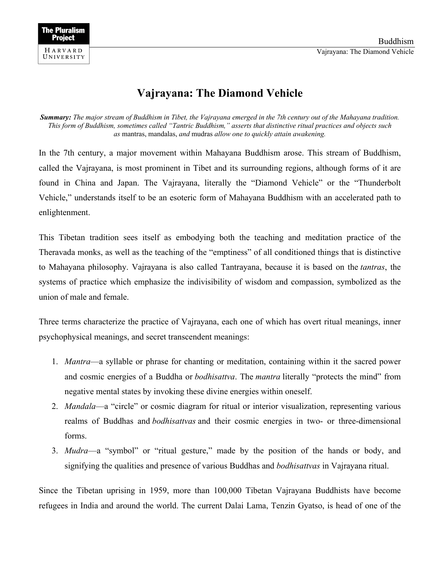## **Vajrayana: The Diamond Vehicle**

*Summary: The major stream of Buddhism in Tibet, the Vajrayana emerged in the 7th century out of the Mahayana tradition. This form of Buddhism, sometimes called "Tantric Buddhism," asserts that distinctive ritual practices and objects such as* mantras, mandalas, *and* mudras *allow one to quickly attain awakening.*

In the 7th century, a major movement within Mahayana Buddhism arose. This stream of Buddhism, called the Vajrayana, is most prominent in Tibet and its surrounding regions, although forms of it are found in China and Japan. The Vajrayana, literally the "Diamond Vehicle" or the "Thunderbolt Vehicle," understands itself to be an esoteric form of Mahayana Buddhism with an accelerated path to enlightenment.

This Tibetan tradition sees itself as embodying both the teaching and meditation practice of the Theravada monks, as well as the teaching of the "emptiness" of all conditioned things that is distinctive to Mahayana philosophy. Vajrayana is also called Tantrayana, because it is based on the *tantras*, the systems of practice which emphasize the indivisibility of wisdom and compassion, symbolized as the union of male and female.

Three terms characterize the practice of Vajrayana, each one of which has overt ritual meanings, inner psychophysical meanings, and secret transcendent meanings:

- 1. *Mantra*—a syllable or phrase for chanting or meditation, containing within it the sacred power and cosmic energies of a Buddha or *bodhisattva*. The *mantra* literally "protects the mind" from negative mental states by invoking these divine energies within oneself.
- 2. *Mandala*—a "circle" or cosmic diagram for ritual or interior visualization, representing various realms of Buddhas and *bodhisattvas* and their cosmic energies in two- or three-dimensional forms.
- 3. *Mudra*—a "symbol" or "ritual gesture," made by the position of the hands or body, and signifying the qualities and presence of various Buddhas and *bodhisattvas* in Vajrayana ritual.

Since the Tibetan uprising in 1959, more than 100,000 Tibetan Vajrayana Buddhists have become refugees in India and around the world. The current Dalai Lama, Tenzin Gyatso, is head of one of the